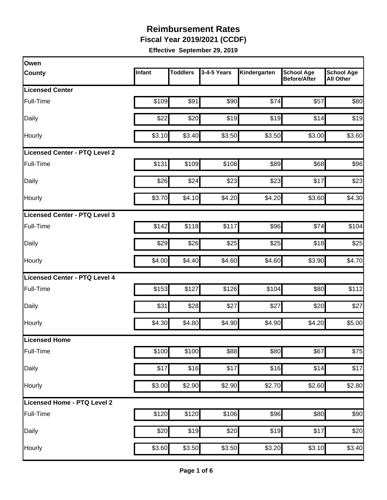**Fiscal Year 2019/2021 (CCDF)**

| Owen                          |        |                 |             |              |                                          |                                       |
|-------------------------------|--------|-----------------|-------------|--------------|------------------------------------------|---------------------------------------|
| <b>County</b>                 | Infant | <b>Toddlers</b> | 3-4-5 Years | Kindergarten | <b>School Age</b><br><b>Before/After</b> | <b>School Age</b><br><b>All Other</b> |
| <b>Licensed Center</b>        |        |                 |             |              |                                          |                                       |
| Full-Time                     | \$109  | \$91            | \$90        | \$74         | \$57                                     | \$80                                  |
| Daily                         | \$22   | \$20            | \$19        | \$19         | \$14                                     | \$19                                  |
| Hourly                        | \$3.10 | \$3.40          | \$3.50      | \$3.50       | \$3.00                                   | \$3.60                                |
| Licensed Center - PTQ Level 2 |        |                 |             |              |                                          |                                       |
| Full-Time                     | \$131  | \$109           | \$108       | \$89         | \$68                                     | \$96                                  |
| Daily                         | \$26   | \$24            | \$23        | \$23         | \$17                                     | \$23                                  |
| Hourly                        | \$3.70 | \$4.10          | \$4.20      | \$4.20       | \$3.60                                   | \$4.30                                |
| Licensed Center - PTQ Level 3 |        |                 |             |              |                                          |                                       |
| Full-Time                     | \$142  | \$118           | \$117       | \$96         | \$74                                     | \$104                                 |
| Daily                         | \$29   | \$26            | \$25        | \$25         | \$18                                     | \$25                                  |
| Hourly                        | \$4.00 | \$4.40          | \$4.60      | \$4.60       | \$3.90                                   | \$4.70                                |
| Licensed Center - PTQ Level 4 |        |                 |             |              |                                          |                                       |
| Full-Time                     | \$153  | \$127           | \$126       | \$104        | \$80                                     | \$112                                 |
| Daily                         | \$31   | \$28            | \$27        | \$27         | \$20                                     | \$27                                  |
| Hourly                        | \$4.30 | \$4.80          | \$4.90      | \$4.90       | \$4.20                                   | \$5.00                                |
| Licensed Home                 |        |                 |             |              |                                          |                                       |
| Full-Time                     | \$100  | \$100           | \$88        | \$80         | \$67                                     | \$75                                  |
| Daily                         | \$17   | \$16            | \$17        | \$16         | \$14                                     | \$17                                  |
| Hourly                        | \$3.00 | \$2.90          | \$2.90      | \$2.70       | \$2.60                                   | \$2.80                                |
| Licensed Home - PTQ Level 2   |        |                 |             |              |                                          |                                       |
| Full-Time                     | \$120  | \$120           | \$106       | \$96         | \$80                                     | \$90                                  |
| Daily                         | \$20   | \$19            | \$20        | \$19         | \$17                                     | \$20                                  |
| Hourly                        | \$3.60 | \$3.50          | \$3.50      | \$3.20       | \$3.10                                   | \$3.40                                |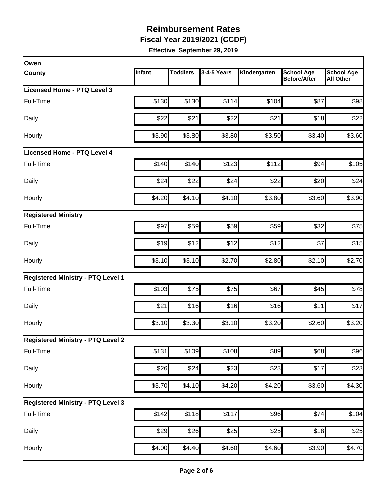**Fiscal Year 2019/2021 (CCDF)**

| Owen                                     |        |                 |             |              |                                          |                                       |
|------------------------------------------|--------|-----------------|-------------|--------------|------------------------------------------|---------------------------------------|
| <b>County</b>                            | Infant | <b>Toddlers</b> | 3-4-5 Years | Kindergarten | <b>School Age</b><br><b>Before/After</b> | <b>School Age</b><br><b>All Other</b> |
| Licensed Home - PTQ Level 3              |        |                 |             |              |                                          |                                       |
| Full-Time                                | \$130  | \$130           | \$114       | \$104        | \$87                                     | \$98                                  |
| Daily                                    | \$22   | \$21            | \$22        | \$21         | \$18                                     | \$22                                  |
| Hourly                                   | \$3.90 | \$3.80          | \$3.80      | \$3.50       | \$3.40                                   | \$3.60                                |
| <b>Licensed Home - PTQ Level 4</b>       |        |                 |             |              |                                          |                                       |
| Full-Time                                | \$140  | \$140           | \$123       | \$112        | \$94                                     | \$105                                 |
| Daily                                    | \$24   | \$22            | \$24        | \$22         | \$20                                     | \$24                                  |
| Hourly                                   | \$4.20 | \$4.10          | \$4.10]     | \$3.80       | \$3.60                                   | \$3.90                                |
| <b>Registered Ministry</b>               |        |                 |             |              |                                          |                                       |
| Full-Time                                | \$97   | \$59            | \$59        | \$59         | \$32                                     | \$75                                  |
| Daily                                    | \$19   | \$12            | \$12        | \$12         | \$7                                      | \$15                                  |
| Hourly                                   | \$3.10 | \$3.10          | \$2.70      | \$2.80       | \$2.10                                   | \$2.70                                |
| <b>Registered Ministry - PTQ Level 1</b> |        |                 |             |              |                                          |                                       |
| Full-Time                                | \$103  | \$75            | \$75        | \$67         | \$45                                     | \$78                                  |
| Daily                                    | \$21   | \$16            | \$16        | \$16         | \$11                                     | \$17                                  |
| Hourly                                   | \$3.10 | \$3.30          | \$3.10      | \$3.20       | \$2.60                                   | \$3.20                                |
| <b>Registered Ministry - PTQ Level 2</b> |        |                 |             |              |                                          |                                       |
| Full-Time                                | \$131  | \$109           | \$108       | \$89         | \$68                                     | \$96                                  |
| Daily                                    | \$26   | \$24            | \$23        | \$23         | \$17                                     | \$23                                  |
| Hourly                                   | \$3.70 | \$4.10          | \$4.20      | \$4.20       | \$3.60                                   | \$4.30                                |
| <b>Registered Ministry - PTQ Level 3</b> |        |                 |             |              |                                          |                                       |
| Full-Time                                | \$142  | \$118           | \$117       | \$96         | \$74                                     | \$104                                 |
| Daily                                    | \$29   | \$26            | \$25        | \$25         | \$18                                     | \$25                                  |
| Hourly                                   | \$4.00 | \$4.40          | \$4.60      | \$4.60       | \$3.90                                   | \$4.70                                |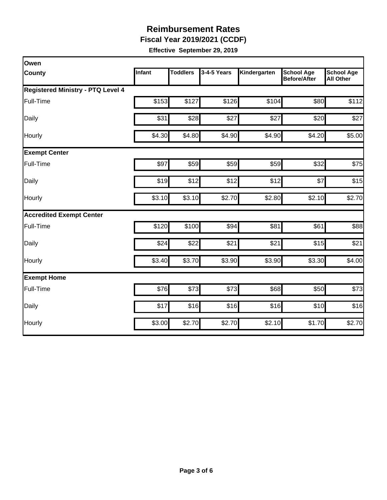**Fiscal Year 2019/2021 (CCDF)**

| Owen                                     |               |                 |             |              |                                          |                                       |
|------------------------------------------|---------------|-----------------|-------------|--------------|------------------------------------------|---------------------------------------|
| <b>County</b>                            | <b>Infant</b> | <b>Toddlers</b> | 3-4-5 Years | Kindergarten | <b>School Age</b><br><b>Before/After</b> | <b>School Age</b><br><b>All Other</b> |
| <b>Registered Ministry - PTQ Level 4</b> |               |                 |             |              |                                          |                                       |
| Full-Time                                | \$153         | \$127           | \$126       | \$104        | \$80                                     | \$112                                 |
| Daily                                    | \$31          | \$28            | \$27        | \$27         | \$20                                     | \$27                                  |
| Hourly                                   | \$4.30        | \$4.80          | \$4.90      | \$4.90       | \$4.20                                   | \$5.00                                |
| <b>Exempt Center</b>                     |               |                 |             |              |                                          |                                       |
| Full-Time                                | \$97          | \$59            | \$59        | \$59         | \$32                                     | \$75                                  |
| Daily                                    | \$19          | \$12            | \$12        | \$12         | \$7                                      | \$15                                  |
| Hourly                                   | \$3.10        | \$3.10          | \$2.70      | \$2.80       | \$2.10                                   | \$2.70                                |
| <b>Accredited Exempt Center</b>          |               |                 |             |              |                                          |                                       |
| Full-Time                                | \$120         | \$100           | \$94        | \$81         | \$61                                     | \$88                                  |
| Daily                                    | \$24          | \$22            | \$21        | \$21         | \$15                                     | \$21                                  |
| Hourly                                   | \$3.40        | \$3.70          | \$3.90      | \$3.90       | \$3.30                                   | \$4.00                                |
| <b>Exempt Home</b>                       |               |                 |             |              |                                          |                                       |
| Full-Time                                | \$76          | \$73            | \$73        | \$68         | \$50                                     | \$73                                  |
| Daily                                    | \$17          | \$16            | \$16        | \$16         | \$10                                     | \$16                                  |
| Hourly                                   | \$3.00        | \$2.70          | \$2.70      | \$2.10       | \$1.70                                   | \$2.70                                |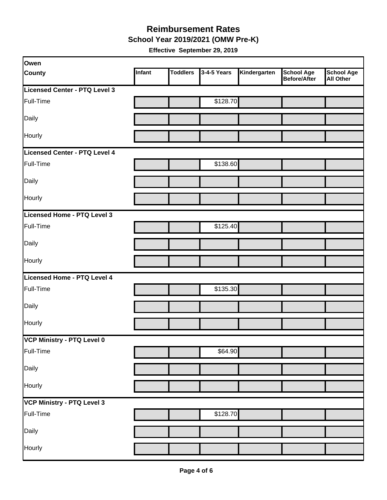**School Year 2019/2021 (OMW Pre-K)**

| Owen                          |        |                 |             |              |                                          |                         |
|-------------------------------|--------|-----------------|-------------|--------------|------------------------------------------|-------------------------|
| <b>County</b>                 | Infant | <b>Toddlers</b> | 3-4-5 Years | Kindergarten | <b>School Age</b><br><b>Before/After</b> | School Age<br>All Other |
| Licensed Center - PTQ Level 3 |        |                 |             |              |                                          |                         |
| Full-Time                     |        |                 | \$128.70    |              |                                          |                         |
| Daily                         |        |                 |             |              |                                          |                         |
| Hourly                        |        |                 |             |              |                                          |                         |
| Licensed Center - PTQ Level 4 |        |                 |             |              |                                          |                         |
| Full-Time                     |        |                 | \$138.60    |              |                                          |                         |
| Daily                         |        |                 |             |              |                                          |                         |
| Hourly                        |        |                 |             |              |                                          |                         |
| Licensed Home - PTQ Level 3   |        |                 |             |              |                                          |                         |
| Full-Time                     |        |                 | \$125.40    |              |                                          |                         |
| Daily                         |        |                 |             |              |                                          |                         |
| Hourly                        |        |                 |             |              |                                          |                         |
| Licensed Home - PTQ Level 4   |        |                 |             |              |                                          |                         |
| Full-Time                     |        |                 | \$135.30    |              |                                          |                         |
| Daily                         |        |                 |             |              |                                          |                         |
| Hourly                        |        |                 |             |              |                                          |                         |
| VCP Ministry - PTQ Level 0    |        |                 |             |              |                                          |                         |
| Full-Time                     |        |                 | \$64.90     |              |                                          |                         |
| Daily                         |        |                 |             |              |                                          |                         |
| Hourly                        |        |                 |             |              |                                          |                         |
| VCP Ministry - PTQ Level 3    |        |                 |             |              |                                          |                         |
| Full-Time                     |        |                 | \$128.70    |              |                                          |                         |
| Daily                         |        |                 |             |              |                                          |                         |
| Hourly                        |        |                 |             |              |                                          |                         |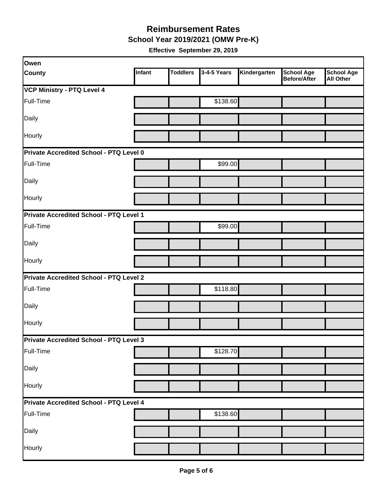**School Year 2019/2021 (OMW Pre-K)**

| Owen                                           |        |                 |             |              |                                          |                         |  |  |
|------------------------------------------------|--------|-----------------|-------------|--------------|------------------------------------------|-------------------------|--|--|
| <b>County</b>                                  | Infant | <b>Toddlers</b> | 3-4-5 Years | Kindergarten | <b>School Age</b><br><b>Before/After</b> | School Age<br>All Other |  |  |
| <b>VCP Ministry - PTQ Level 4</b>              |        |                 |             |              |                                          |                         |  |  |
| Full-Time                                      |        |                 | \$138.60    |              |                                          |                         |  |  |
| Daily                                          |        |                 |             |              |                                          |                         |  |  |
| Hourly                                         |        |                 |             |              |                                          |                         |  |  |
| Private Accredited School - PTQ Level 0        |        |                 |             |              |                                          |                         |  |  |
| Full-Time                                      |        |                 | \$99.00     |              |                                          |                         |  |  |
| Daily                                          |        |                 |             |              |                                          |                         |  |  |
| Hourly                                         |        |                 |             |              |                                          |                         |  |  |
| Private Accredited School - PTQ Level 1        |        |                 |             |              |                                          |                         |  |  |
| Full-Time                                      |        |                 | \$99.00     |              |                                          |                         |  |  |
| Daily                                          |        |                 |             |              |                                          |                         |  |  |
| Hourly                                         |        |                 |             |              |                                          |                         |  |  |
| <b>Private Accredited School - PTQ Level 2</b> |        |                 |             |              |                                          |                         |  |  |
| Full-Time                                      |        |                 | \$118.80    |              |                                          |                         |  |  |
| Daily                                          |        |                 |             |              |                                          |                         |  |  |
| Hourly                                         |        |                 |             |              |                                          |                         |  |  |
| Private Accredited School - PTQ Level 3        |        |                 |             |              |                                          |                         |  |  |
| Full-Time                                      |        |                 | \$128.70    |              |                                          |                         |  |  |
| Daily                                          |        |                 |             |              |                                          |                         |  |  |
| Hourly                                         |        |                 |             |              |                                          |                         |  |  |
| Private Accredited School - PTQ Level 4        |        |                 |             |              |                                          |                         |  |  |
| Full-Time                                      |        |                 | \$138.60    |              |                                          |                         |  |  |
| Daily                                          |        |                 |             |              |                                          |                         |  |  |
| Hourly                                         |        |                 |             |              |                                          |                         |  |  |